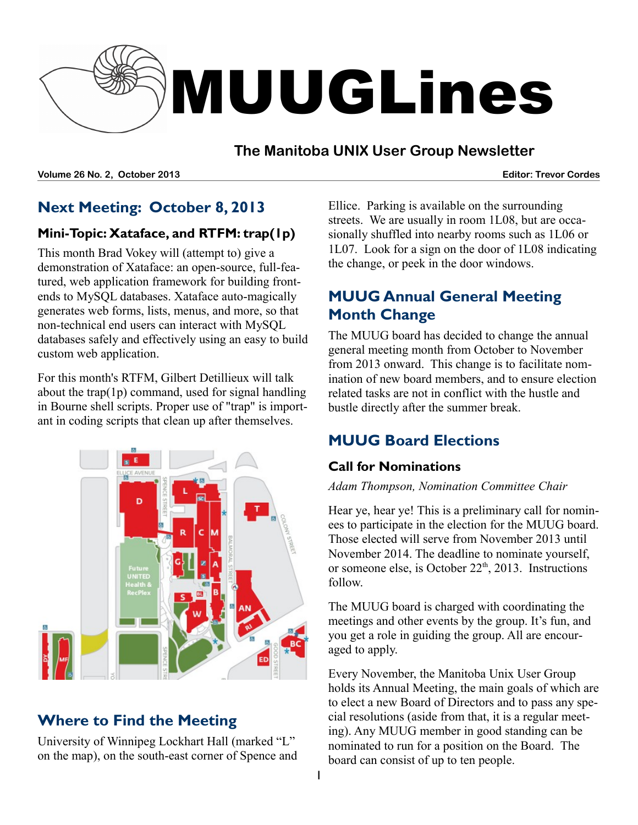

#### **The Manitoba UNIX User Group Newsletter**

**Volume 26 No. 2, October 2013 Editor: Trevor Cordes**

#### **Next Meeting: October 8, 2013**

#### **Mini-Topic: Xataface, and RTFM: trap(1p)**

This month Brad Vokey will (attempt to) give a demonstration of Xataface: an open-source, full-featured, web application framework for building frontends to MySQL databases. Xataface auto-magically generates web forms, lists, menus, and more, so that non-technical end users can interact with MySQL databases safely and effectively using an easy to build custom web application.

For this month's RTFM, Gilbert Detillieux will talk about the trap(1p) command, used for signal handling in Bourne shell scripts. Proper use of "trap" is important in coding scripts that clean up after themselves.



# **Where to Find the Meeting**

University of Winnipeg Lockhart Hall (marked "L" on the map), on the south-east corner of Spence and Ellice. Parking is available on the surrounding streets. We are usually in room 1L08, but are occasionally shuffled into nearby rooms such as 1L06 or 1L07. Look for a sign on the door of 1L08 indicating the change, or peek in the door windows.

# **MUUG Annual General Meeting Month Change**

The MUUG board has decided to change the annual general meeting month from October to November from 2013 onward. This change is to facilitate nomination of new board members, and to ensure election related tasks are not in conflict with the hustle and bustle directly after the summer break.

# **MUUG Board Elections**

#### **Call for Nominations**

#### *Adam Thompson, Nomination Committee Chair*

Hear ye, hear ye! This is a preliminary call for nominees to participate in the election for the MUUG board. Those elected will serve from November 2013 until November 2014. The deadline to nominate yourself, or someone else, is October  $22<sup>th</sup>$ , 2013. Instructions follow.

The MUUG board is charged with coordinating the meetings and other events by the group. It's fun, and you get a role in guiding the group. All are encouraged to apply.

Every November, the Manitoba Unix User Group holds its Annual Meeting, the main goals of which are to elect a new Board of Directors and to pass any special resolutions (aside from that, it is a regular meeting). Any MUUG member in good standing can be nominated to run for a position on the Board. The board can consist of up to ten people.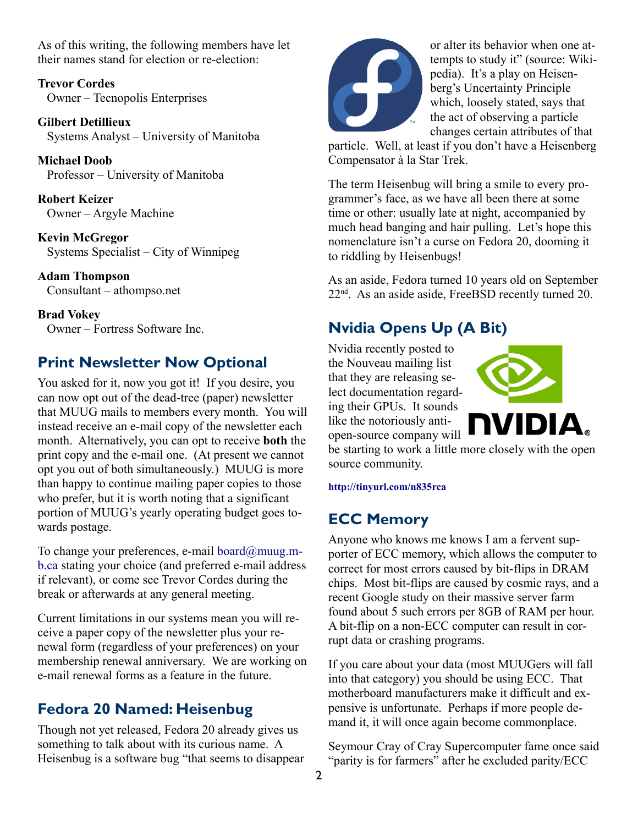As of this writing, the following members have let their names stand for election or re-election:

**Trevor Cordes** Owner – Tecnopolis Enterprises

**Gilbert Detillieux** Systems Analyst – University of Manitoba

**Michael Doob** Professor – University of Manitoba

**Robert Keizer** Owner – Argyle Machine

**Kevin McGregor** Systems Specialist – City of Winnipeg

**Adam Thompson** Consultant – athompso.net

**Brad Vokey** Owner – Fortress Software Inc.

#### **Print Newsletter Now Optional**

You asked for it, now you got it! If you desire, you can now opt out of the dead-tree (paper) newsletter that MUUG mails to members every month. You will instead receive an e-mail copy of the newsletter each month. Alternatively, you can opt to receive **both** the print copy and the e-mail one. (At present we cannot opt you out of both simultaneously.) MUUG is more than happy to continue mailing paper copies to those who prefer, but it is worth noting that a significant portion of MUUG's yearly operating budget goes towards postage.

To change your preferences, e-mail board $@$ muug.m[b.ca](mailto:board@muug.mb.ca) stating your choice (and preferred e-mail address if relevant), or come see Trevor Cordes during the break or afterwards at any general meeting.

Current limitations in our systems mean you will receive a paper copy of the newsletter plus your renewal form (regardless of your preferences) on your membership renewal anniversary. We are working on e-mail renewal forms as a feature in the future.

#### **Fedora 20 Named: Heisenbug**

Though not yet released, Fedora 20 already gives us something to talk about with its curious name. A Heisenbug is a software bug "that seems to disappear



or alter its behavior when one attempts to study it" (source: Wikipedia). It's a play on Heisenberg's Uncertainty Principle which, loosely stated, says that the act of observing a particle changes certain attributes of that

particle. Well, at least if you don't have a Heisenberg Compensator à la Star Trek.

The term Heisenbug will bring a smile to every programmer's face, as we have all been there at some time or other: usually late at night, accompanied by much head banging and hair pulling. Let's hope this nomenclature isn't a curse on Fedora 20, dooming it to riddling by Heisenbugs!

As an aside, Fedora turned 10 years old on September  $22<sup>nd</sup>$ . As an aside aside, FreeBSD recently turned 20.

# **Nvidia Opens Up (A Bit)**

Nvidia recently posted to the Nouveau mailing list that they are releasing select documentation regarding their GPUs. It sounds like the notoriously antiopen-source company will



be starting to work a little more closely with the open source community.

**http://tinyurl.com/n835rca**

# **ECC Memory**

Anyone who knows me knows I am a fervent supporter of ECC memory, which allows the computer to correct for most errors caused by bit-flips in DRAM chips. Most bit-flips are caused by cosmic rays, and a recent Google study on their massive server farm found about 5 such errors per 8GB of RAM per hour. A bit-flip on a non-ECC computer can result in corrupt data or crashing programs.

If you care about your data (most MUUGers will fall into that category) you should be using ECC. That motherboard manufacturers make it difficult and expensive is unfortunate. Perhaps if more people demand it, it will once again become commonplace.

Seymour Cray of Cray Supercomputer fame once said "parity is for farmers" after he excluded parity/ECC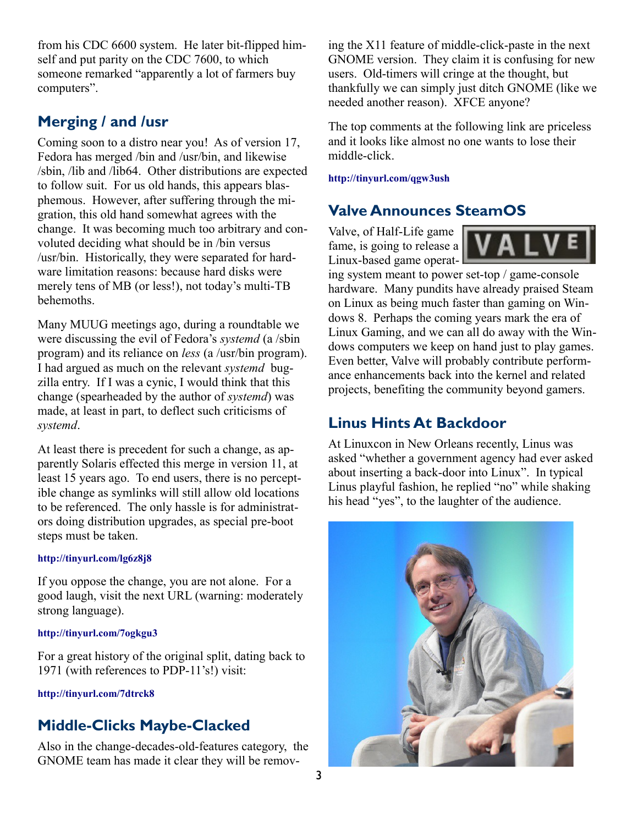from his CDC 6600 system. He later bit-flipped himself and put parity on the CDC 7600, to which someone remarked "apparently a lot of farmers buy computers".

#### **Merging / and /usr**

Coming soon to a distro near you! As of version 17, Fedora has merged /bin and /usr/bin, and likewise /sbin, /lib and /lib64. Other distributions are expected to follow suit. For us old hands, this appears blasphemous. However, after suffering through the migration, this old hand somewhat agrees with the change. It was becoming much too arbitrary and convoluted deciding what should be in /bin versus /usr/bin. Historically, they were separated for hardware limitation reasons: because hard disks were merely tens of MB (or less!), not today's multi-TB behemoths.

Many MUUG meetings ago, during a roundtable we were discussing the evil of Fedora's *systemd* (a /sbin program) and its reliance on *less* (a /usr/bin program). I had argued as much on the relevant *systemd* bugzilla entry. If I was a cynic, I would think that this change (spearheaded by the author of *systemd*) was made, at least in part, to deflect such criticisms of *systemd*.

At least there is precedent for such a change, as apparently Solaris effected this merge in version 11, at least 15 years ago. To end users, there is no perceptible change as symlinks will still allow old locations to be referenced. The only hassle is for administrators doing distribution upgrades, as special pre-boot steps must be taken.

#### **<http://tinyurl.com/lg6z8j8>**

If you oppose the change, you are not alone. For a good laugh, visit the next URL (warning: moderately strong language).

#### **<http://tinyurl.com/7ogkgu3>**

For a great history of the original split, dating back to 1971 (with references to PDP-11's!) visit:

**<http://tinyurl.com/7dtrck8>**

#### **Middle-Clicks Maybe-Clacked**

Also in the change-decades-old-features category, the GNOME team has made it clear they will be removing the X11 feature of middle-click-paste in the next GNOME version. They claim it is confusing for new users. Old-timers will cringe at the thought, but thankfully we can simply just ditch GNOME (like we needed another reason). XFCE anyone?

The top comments at the following link are priceless and it looks like almost no one wants to lose their middle-click.

#### **http://tinyurl.com/qgw3ush**

#### **Valve Announces SteamOS**

Valve, of Half-Life game fame, is going to release a Linux-based game operat-



ing system meant to power set-top / game-console hardware. Many pundits have already praised Steam on Linux as being much faster than gaming on Windows 8. Perhaps the coming years mark the era of Linux Gaming, and we can all do away with the Windows computers we keep on hand just to play games. Even better, Valve will probably contribute performance enhancements back into the kernel and related projects, benefiting the community beyond gamers.

#### **Linus Hints At Backdoor**

At Linuxcon in New Orleans recently, Linus was asked "whether a government agency had ever asked about inserting a back-door into Linux". In typical Linus playful fashion, he replied "no" while shaking his head "yes", to the laughter of the audience.